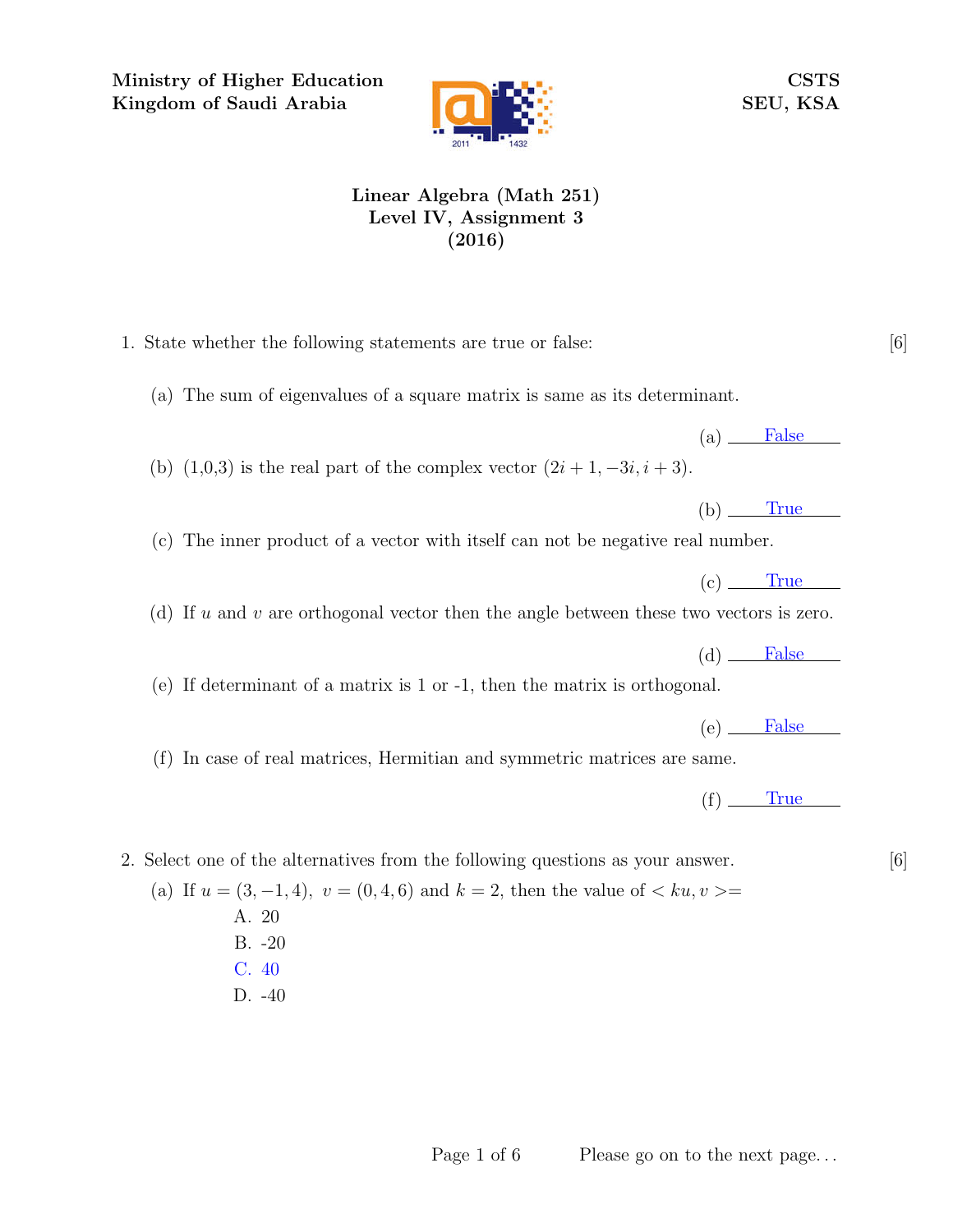Ministry of Higher Education Kingdom of Saudi Arabia



CSTS SEU, KSA

## Linear Algebra (Math 251) Level IV, Assignment 3 (2016)

- 1. State whether the following statements are true or false: [6]
	- (a) The sum of eigenvalues of a square matrix is same as its determinant.
	- (b)  $(1,0,3)$  is the real part of the complex vector  $(2i+1,-3i,i+3)$ .

(c) The inner product of a vector with itself can not be negative real number.

(d) If u and v are orthogonal vector then the angle between these two vectors is zero.

(e) If determinant of a matrix is 1 or -1, then the matrix is orthogonal.

 $(e)$  False

 $(a)$  False

 $(b)$  True

 $(c)$  True

 $(d)$  False

(f) In case of real matrices, Hermitian and symmetric matrices are same.

 $(f)$  True

2. Select one of the alternatives from the following questions as your answer. [6]

(a) If  $u = (3, -1, 4)$ ,  $v = (0, 4, 6)$  and  $k = 2$ , then the value of  $\langle ku, v \rangle =$ A. 20 B. -20 C. 40 D. -40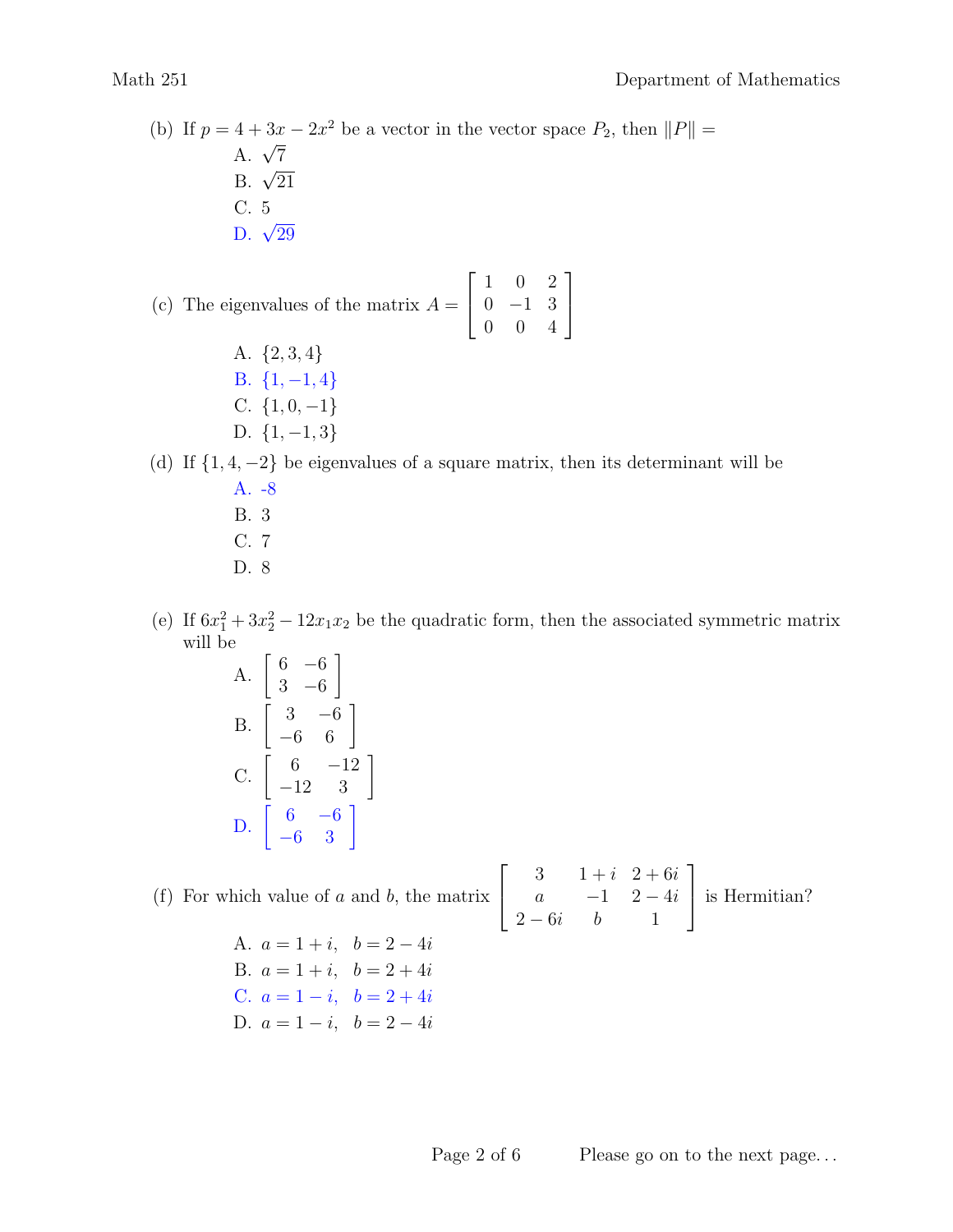(b) If  $p = 4 + 3x - 2x^2$  be a vector in the vector space  $P_2$ , then  $||P|| =$  $A. \sqrt{7}$  $B. \sqrt{21}$ C. 5  $D. \sqrt{29}$ (c) The eigenvalues of the matrix  $A =$  $\sqrt{ }$  $\overline{1}$ 1 0 2  $0 -1 3$ 1  $\overline{1}$ 

> A. {2, 3, 4} B.  $\{1, -1, 4\}$ C.  $\{1, 0, -1\}$ D.  $\{1, -1, 3\}$

(d) If  $\{1, 4, -2\}$  be eigenvalues of a square matrix, then its determinant will be

0 0 4

- A. -8 B. 3
- C. 7
- D. 8
- (e) If  $6x_1^2 + 3x_2^2 12x_1x_2$  be the quadratic form, then the associated symmetric matrix will be
	- A.  $\begin{bmatrix} 6 & -6 \\ 2 & 6 \end{bmatrix}$ 3 −6 1 B.  $\begin{bmatrix} 3 & -6 \\ -6 & 6 \end{bmatrix}$ C.  $\begin{bmatrix} 6 & -12 \\ -12 & 3 \end{bmatrix}$ D.  $\begin{bmatrix} 6 & -6 \\ -6 & 3 \end{bmatrix}$

(f) For which value of  $a$  and  $b$ , the matrix  $\sqrt{ }$  $\overline{1}$ 3  $1 + i$  2 + 6i a  $-1$  2  $-4i$  $2-6i$  b 1 1 is Hermitian?

A.  $a = 1 + i$ ,  $b = 2 - 4i$ B.  $a = 1 + i$ ,  $b = 2 + 4i$ C.  $a = 1 - i$ ,  $b = 2 + 4i$ D.  $a = 1 - i$ ,  $b = 2 - 4i$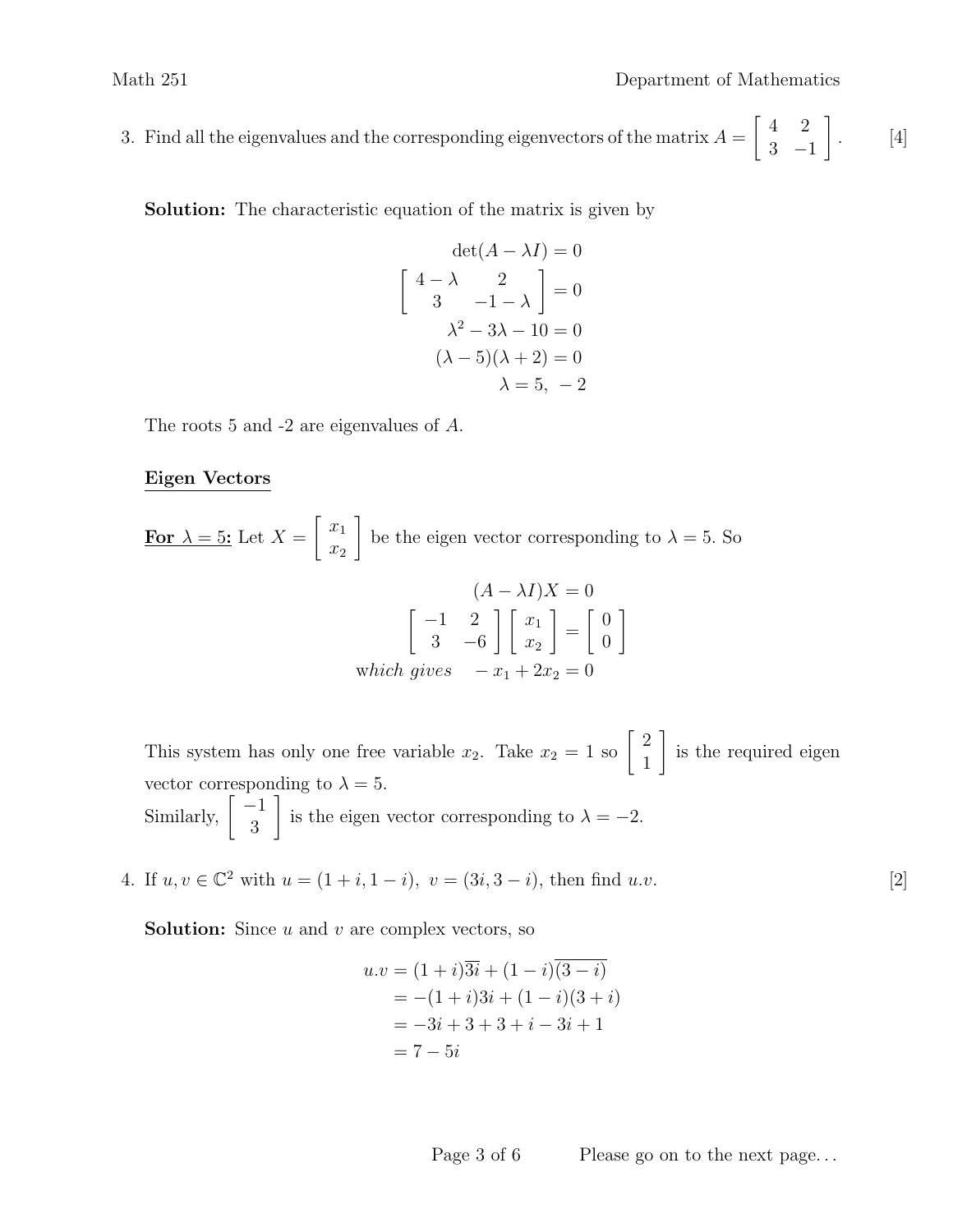3. Find all the eigenvalues and the corresponding eigenvectors of the matrix  $A = \begin{bmatrix} 4 & 2 \\ 2 & 1 \end{bmatrix}$ . [4] 3 −1 1 .

Solution: The characteristic equation of the matrix is given by

$$
\det(A - \lambda I) = 0
$$

$$
\begin{bmatrix} 4 - \lambda & 2 \\ 3 & -1 - \lambda \end{bmatrix} = 0
$$

$$
\lambda^2 - 3\lambda - 10 = 0
$$

$$
(\lambda - 5)(\lambda + 2) = 0
$$

$$
\lambda = 5, -2
$$

The roots 5 and -2 are eigenvalues of A.

## Eigen Vectors

For  $\lambda = 5$ : Let  $X =$  $\lceil x_1 \rceil$  $\overline{x_2}$ 1 be the eigen vector corresponding to  $\lambda = 5$ . So

$$
(A - \lambda I)X = 0
$$
  

$$
\begin{bmatrix} -1 & 2 \\ 3 & -6 \end{bmatrix} \begin{bmatrix} x_1 \\ x_2 \end{bmatrix} = \begin{bmatrix} 0 \\ 0 \end{bmatrix}
$$
  
which gives  $-x_1 + 2x_2 = 0$ 

This system has only one free variable  $x_2$ . Take  $x_2 = 1$  so  $\begin{bmatrix} 2 \\ 1 \end{bmatrix}$ 1 1 is the required eigen vector corresponding to  $\lambda = 5$ . Similarly,  $\begin{bmatrix} -1 \\ 2 \end{bmatrix}$ 3 1 is the eigen vector corresponding to  $\lambda = -2$ .

4. If  $u, v \in \mathbb{C}^2$  with  $u = (1 + i, 1 - i), v = (3i, 3 - i)$ , then find  $u.v$ . [2]

**Solution:** Since  $u$  and  $v$  are complex vectors, so

$$
u.v = (1+i)\overline{3i} + (1-i)(\overline{3-i})
$$
  
= -(1+i)3i + (1-i)(3+i)  
= -3i + 3 + 3 + i - 3i + 1  
= 7 - 5i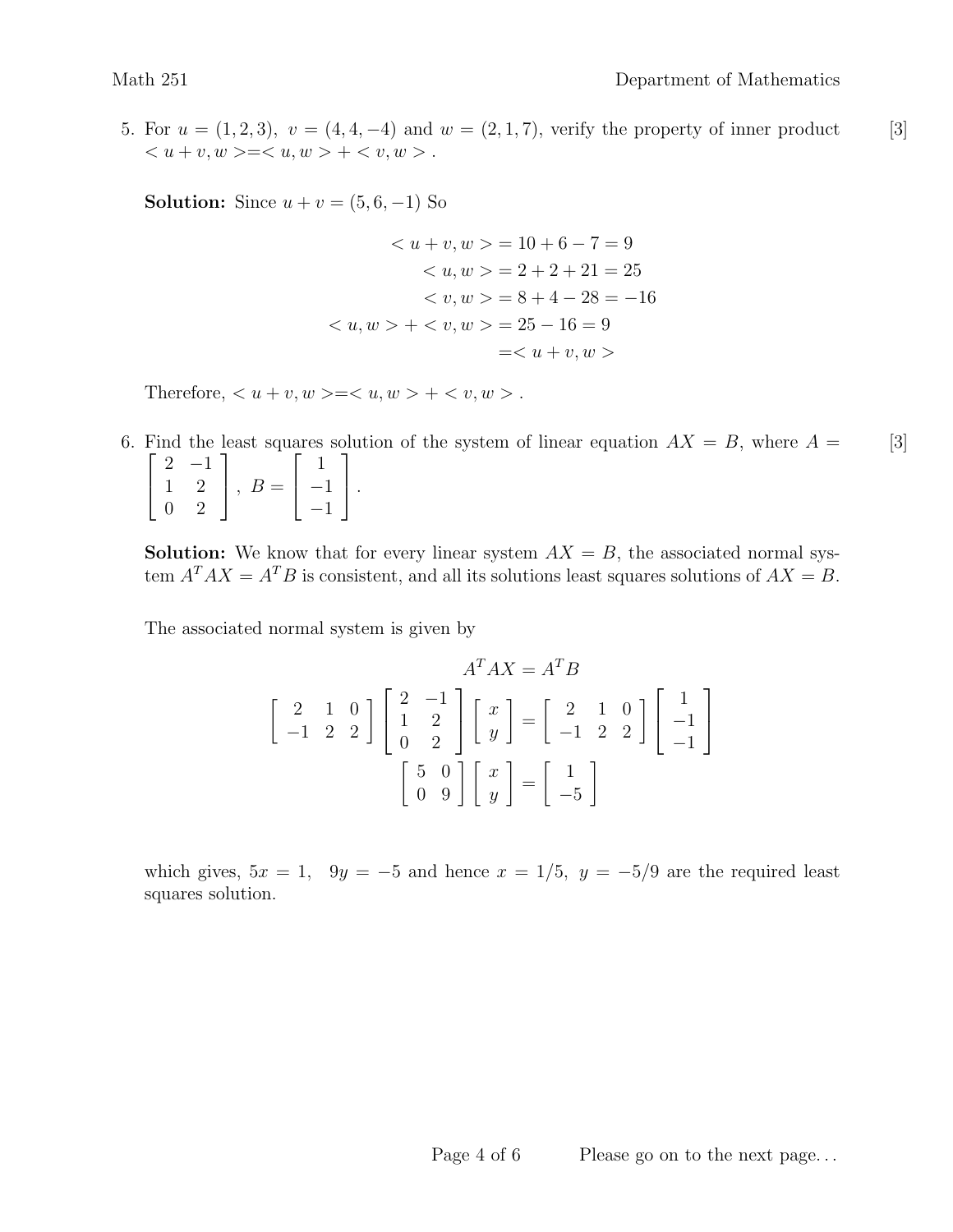5. For  $u = (1, 2, 3), v = (4, 4, -4)$  and  $w = (2, 1, 7)$ , verify the property of inner product [3]  $\langle u + v, w \rangle = \langle u, w \rangle + \langle v, w \rangle.$ 

**Solution:** Since  $u + v = (5, 6, -1)$  So

$$
\langle u + v, w \rangle = 10 + 6 - 7 = 9
$$
  

$$
\langle u, w \rangle = 2 + 2 + 21 = 25
$$
  

$$
\langle v, w \rangle = 8 + 4 - 28 = -16
$$
  

$$
\langle u, w \rangle + \langle v, w \rangle = 25 - 16 = 9
$$
  

$$
= \langle u + v, w \rangle
$$

Therefore,  $\lt u + v, w \gt \lt v, w \gt + \lt v, w \gt .$ 

6. Find the least squares solution of the system of linear equation  $AX = B$ , where  $A = \begin{bmatrix} 3 \end{bmatrix}$  $\sqrt{ }$  $\overline{\phantom{a}}$  $2 -1$ 1 2 0 2 1  $\Big\vert$ ,  $B=$  $\sqrt{ }$  $\overline{1}$ 1 −1 −1 1  $\vert \cdot$ 

**Solution:** We know that for every linear system  $AX = B$ , the associated normal system  $A^T A X = A^T B$  is consistent, and all its solutions least squares solutions of  $A X = B$ .

The associated normal system is given by

$$
A^T A X = A^T B
$$
  
\n
$$
\begin{bmatrix} 2 & 1 & 0 \\ -1 & 2 & 2 \end{bmatrix} \begin{bmatrix} 2 & -1 \\ 1 & 2 \\ 0 & 2 \end{bmatrix} \begin{bmatrix} x \\ y \end{bmatrix} = \begin{bmatrix} 2 & 1 & 0 \\ -1 & 2 & 2 \end{bmatrix} \begin{bmatrix} 1 \\ -1 \\ -1 \end{bmatrix}
$$
  
\n
$$
\begin{bmatrix} 5 & 0 \\ 0 & 9 \end{bmatrix} \begin{bmatrix} x \\ y \end{bmatrix} = \begin{bmatrix} 1 \\ -5 \end{bmatrix}
$$

which gives,  $5x = 1$ ,  $9y = -5$  and hence  $x = 1/5$ ,  $y = -5/9$  are the required least squares solution.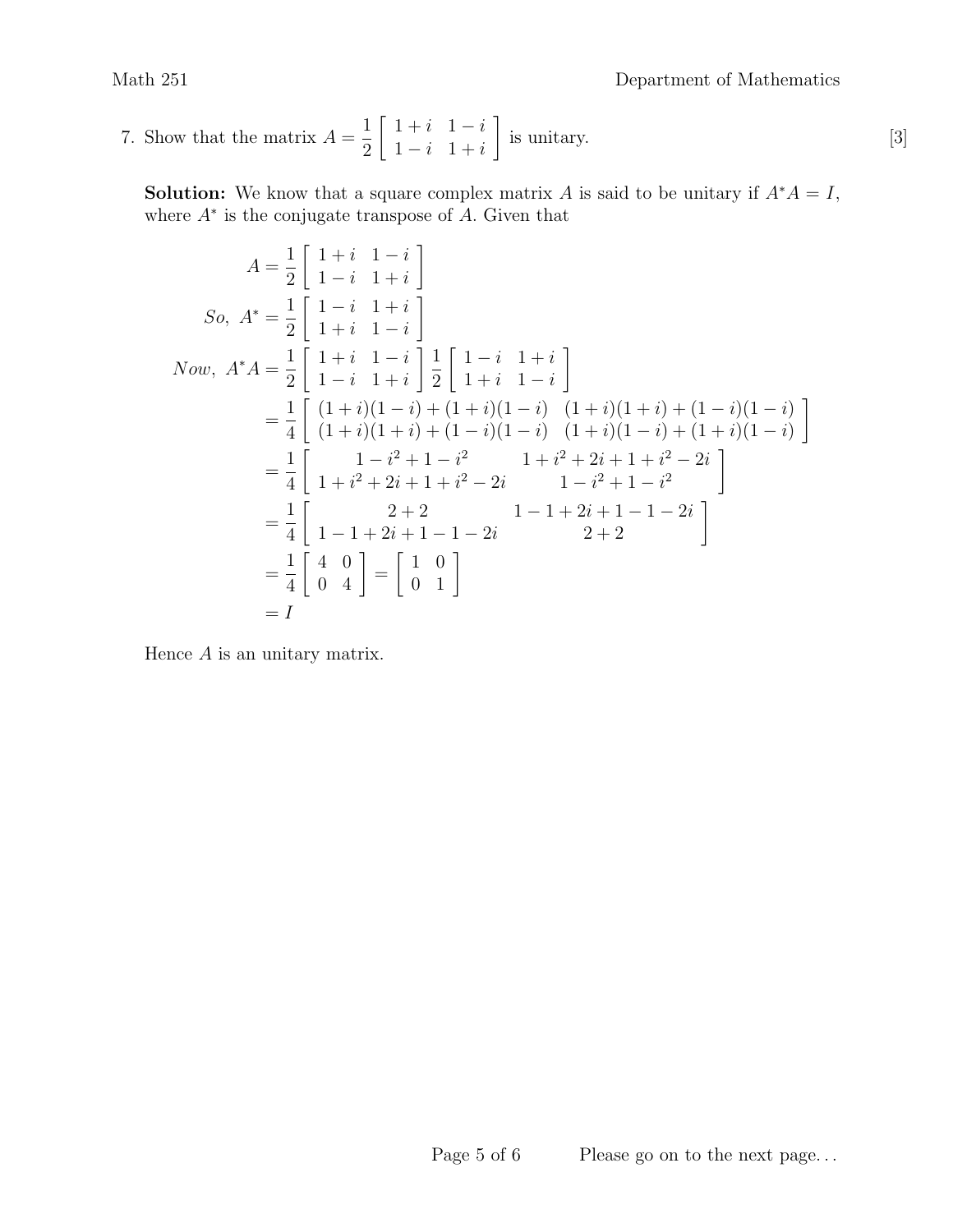7. Show that the matrix  $A = \frac{1}{2} \begin{bmatrix} 1+i & 1-i \\ 1-i & 1+i \end{bmatrix}$  is unitary. [3] 2  $\begin{bmatrix} 1+i & 1-i \end{bmatrix}$  $1 - i \quad 1 + i$ 1 is unitary.

**Solution:** We know that a square complex matrix A is said to be unitary if  $A^*A = I$ , where  $A^*$  is the conjugate transpose of  $A$ . Given that

$$
A = \frac{1}{2} \begin{bmatrix} 1+i & 1-i \\ 1-i & 1+i \end{bmatrix}
$$
  
\nSo,  $A^* = \frac{1}{2} \begin{bmatrix} 1-i & 1+i \\ 1+i & 1-i \end{bmatrix}$   
\nNow,  $A^*A = \frac{1}{2} \begin{bmatrix} 1+i & 1-i \\ 1-i & 1+i \end{bmatrix} \frac{1}{2} \begin{bmatrix} 1-i & 1+i \\ 1+i & 1-i \end{bmatrix}$   
\n
$$
= \frac{1}{4} \begin{bmatrix} (1+i)(1-i) + (1+i)(1-i) & (1+i)(1+i) + (1-i)(1-i) \\ (1+i)(1+i) + (1-i)(1-i) & (1+i)(1-i) + (1+i)(1-i) \end{bmatrix}
$$
  
\n
$$
= \frac{1}{4} \begin{bmatrix} 1-i^2+1-i^2 & 1+i^2+2i+1+i^2-2i \\ 1+i^2+2i+1+i^2-2i & 1-i^2+1-i^2 \end{bmatrix}
$$
  
\n
$$
= \frac{1}{4} \begin{bmatrix} 2+2 & 1-1+2i+1-1-2i \\ 1-1+2i+1-1-2i & 2+2 \end{bmatrix}
$$
  
\n
$$
= \frac{1}{4} \begin{bmatrix} 4 & 0 \\ 0 & 4 \end{bmatrix} = \begin{bmatrix} 1 & 0 \\ 0 & 1 \end{bmatrix}
$$
  
\n
$$
= I
$$

Hence  $A$  is an unitary matrix.